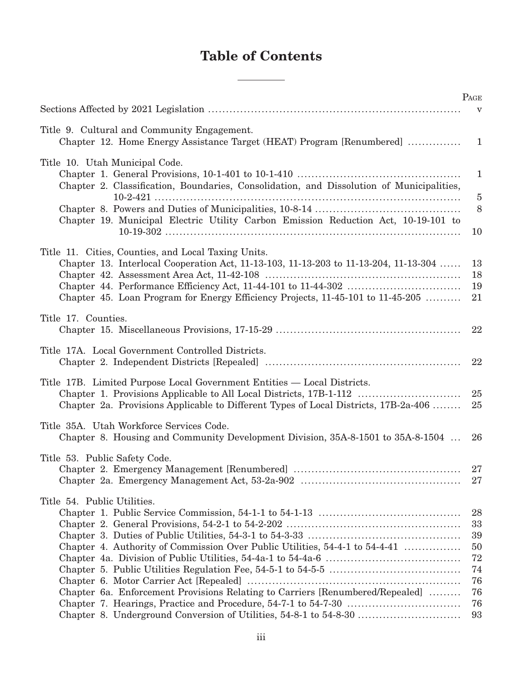## **Table of Contents**

L

 $\overline{\phantom{0}}$ 

|                                                                                                                                                                                                                                | PAGE                                               |
|--------------------------------------------------------------------------------------------------------------------------------------------------------------------------------------------------------------------------------|----------------------------------------------------|
|                                                                                                                                                                                                                                | $\mathbf{V}$                                       |
| Title 9. Cultural and Community Engagement.<br>Chapter 12. Home Energy Assistance Target (HEAT) Program [Renumbered]                                                                                                           | 1                                                  |
| Title 10. Utah Municipal Code.<br>Chapter 2. Classification, Boundaries, Consolidation, and Dissolution of Municipalities,                                                                                                     | $\mathbf{1}$                                       |
| Chapter 19. Municipal Electric Utility Carbon Emission Reduction Act, 10-19-101 to                                                                                                                                             | $\bf 5$<br>$8\,$<br>10                             |
| Title 11. Cities, Counties, and Local Taxing Units.<br>Chapter 13. Interlocal Cooperation Act, 11-13-103, 11-13-203 to 11-13-204, 11-13-304<br>Chapter 45. Loan Program for Energy Efficiency Projects, 11-45-101 to 11-45-205 | 13<br>18<br>19<br>21                               |
| Title 17. Counties.                                                                                                                                                                                                            | 22                                                 |
| Title 17A. Local Government Controlled Districts.                                                                                                                                                                              | 22                                                 |
| Title 17B. Limited Purpose Local Government Entities — Local Districts.<br>Chapter 2a. Provisions Applicable to Different Types of Local Districts, 17B-2a-406                                                                 | 25<br>25                                           |
| Title 35A. Utah Workforce Services Code.<br>Chapter 8. Housing and Community Development Division, 35A-8-1501 to 35A-8-1504                                                                                                    | 26                                                 |
| Title 53. Public Safety Code.                                                                                                                                                                                                  | 27<br>27                                           |
| Title 54. Public Utilities.<br>Chapter 4. Authority of Commission Over Public Utilities, 54-4-1 to 54-4-41<br>Chapter 6a. Enforcement Provisions Relating to Carriers [Renumbered/Repealed]                                    | 28<br>33<br>39<br>50<br>72<br>74<br>76<br>76<br>76 |
| Chapter 8. Underground Conversion of Utilities, 54-8-1 to 54-8-30                                                                                                                                                              | 93                                                 |